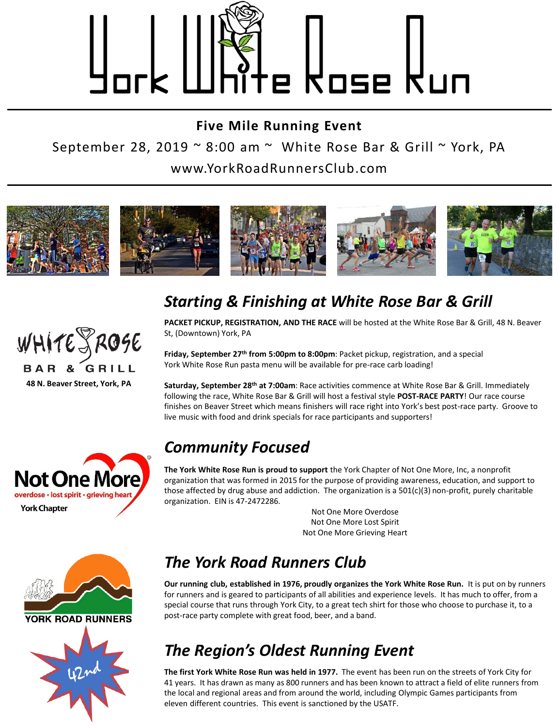

**Five Mile Running Event** September 28, 2019  $\sim$  8:00 am  $\sim$  White Rose Bar & Grill  $\sim$  York, PA www.YorkRoadRunnersClub.com



## *Starting & Finishing at White Rose Bar & Grill*

**PACKET PICKUP, REGISTRATION, AND THE RACE** will be hosted at the White Rose Bar & Grill, 48 N. Beaver St, (Downtown) York, PA

**Friday, September 27th from 5:00pm to 8:00pm**: Packet pickup, registration, and a special York White Rose Run pasta menu will be available for pre-race carb loading!

**Saturday, September 28th at 7:00am**: Race activities commence at White Rose Bar & Grill. Immediately following the race, White Rose Bar & Grill will host a festival style **POST-RACE PARTY**! Our race course finishes on Beaver Street which means finishers will race right into York's best post-race party. Groove to live music with food and drink specials for race participants and supporters!

#### *Community Focused*

**The York White Rose Run is proud to support** the York Chapter of Not One More, Inc, a nonprofit organization that was formed in 2015 for the purpose of providing awareness, education, and support to those affected by drug abuse and addiction. The organization is a 501(c)(3) non-profit, purely charitable organization. EIN is 47-2472286.

> Not One More Overdose Not One More Lost Spirit Not One More Grieving Heart



**Not One More** overdose · lost spirit · grieving hear

**York Chapter** 



# *The York Road Runners Club*

**Our running club, established in 1976, proudly organizes the York White Rose Run.** It is put on by runners for runners and is geared to participants of all abilities and experience levels. It has much to offer, from a special course that runs through York City, to a great tech shirt for those who choose to purchase it, to a post-race party complete with great food, beer, and a band.

# *The Region's Oldest Running Event*

**The first York White Rose Run was held in 1977.** The event has been run on the streets of York City for 41 years. It has drawn as many as 800 runners and has been known to attract a field of elite runners from the local and regional areas and from around the world, including Olympic Games participants from eleven different countries. This event is sanctioned by the USATF.